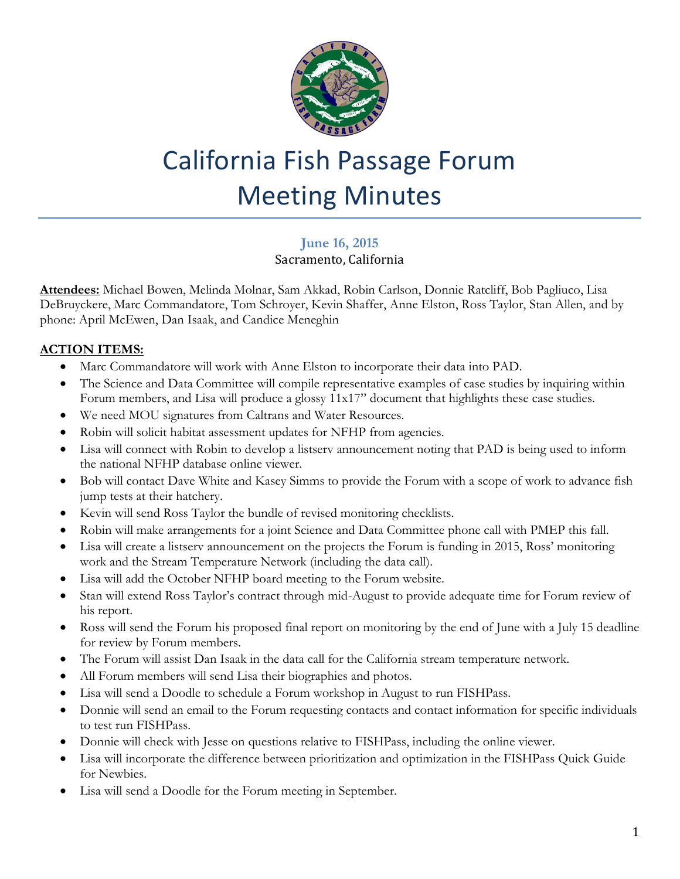

# California Fish Passage Forum Meeting Minutes

# **June 16, 2015**

## Sacramento, California

**Attendees:** Michael Bowen, Melinda Molnar, Sam Akkad, Robin Carlson, Donnie Ratcliff, Bob Pagliuco, Lisa DeBruyckere, Marc Commandatore, Tom Schroyer, Kevin Shaffer, Anne Elston, Ross Taylor, Stan Allen, and by phone: April McEwen, Dan Isaak, and Candice Meneghin

## **ACTION ITEMS:**

- Marc Commandatore will work with Anne Elston to incorporate their data into PAD.
- The Science and Data Committee will compile representative examples of case studies by inquiring within Forum members, and Lisa will produce a glossy 11x17" document that highlights these case studies.
- We need MOU signatures from Caltrans and Water Resources.
- Robin will solicit habitat assessment updates for NFHP from agencies.
- Lisa will connect with Robin to develop a listserv announcement noting that PAD is being used to inform the national NFHP database online viewer.
- Bob will contact Dave White and Kasey Simms to provide the Forum with a scope of work to advance fish jump tests at their hatchery.
- Kevin will send Ross Taylor the bundle of revised monitoring checklists.
- Robin will make arrangements for a joint Science and Data Committee phone call with PMEP this fall.
- Lisa will create a listserv announcement on the projects the Forum is funding in 2015, Ross' monitoring work and the Stream Temperature Network (including the data call).
- Lisa will add the October NFHP board meeting to the Forum website.
- Stan will extend Ross Taylor's contract through mid-August to provide adequate time for Forum review of his report.
- Ross will send the Forum his proposed final report on monitoring by the end of June with a July 15 deadline for review by Forum members.
- The Forum will assist Dan Isaak in the data call for the California stream temperature network.
- All Forum members will send Lisa their biographies and photos.
- Lisa will send a Doodle to schedule a Forum workshop in August to run FISHPass.
- Donnie will send an email to the Forum requesting contacts and contact information for specific individuals to test run FISHPass.
- Donnie will check with Jesse on questions relative to FISHPass, including the online viewer.
- Lisa will incorporate the difference between prioritization and optimization in the FISHPass Quick Guide for Newbies.
- Lisa will send a Doodle for the Forum meeting in September.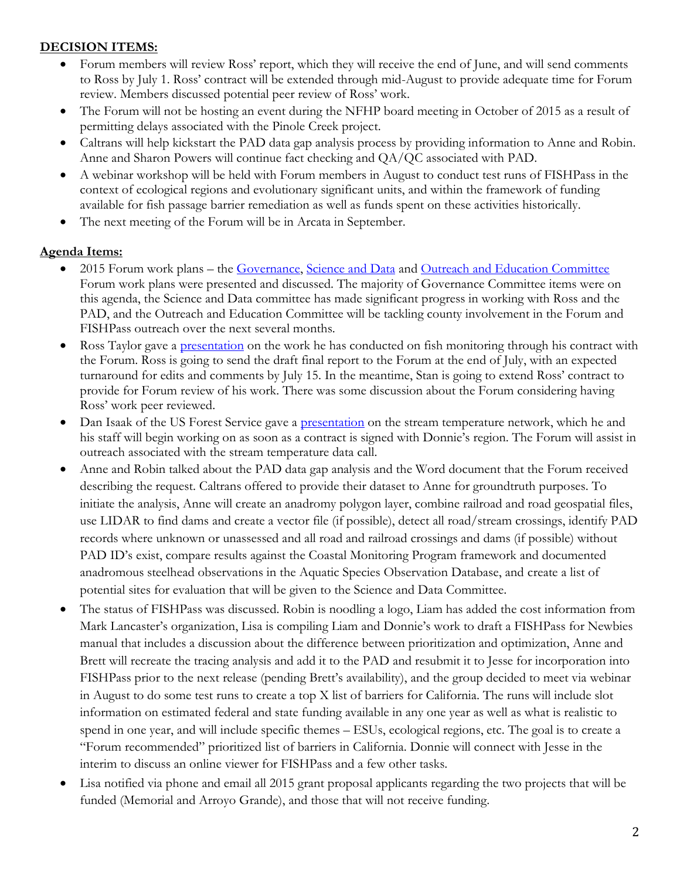#### **DECISION ITEMS:**

- Forum members will review Ross' report, which they will receive the end of June, and will send comments to Ross by July 1. Ross' contract will be extended through mid-August to provide adequate time for Forum review. Members discussed potential peer review of Ross' work.
- The Forum will not be hosting an event during the NFHP board meeting in October of 2015 as a result of permitting delays associated with the Pinole Creek project.
- Caltrans will help kickstart the PAD data gap analysis process by providing information to Anne and Robin. Anne and Sharon Powers will continue fact checking and QA/QC associated with PAD.
- A webinar workshop will be held with Forum members in August to conduct test runs of FISHPass in the context of ecological regions and evolutionary significant units, and within the framework of funding available for fish passage barrier remediation as well as funds spent on these activities historically.
- The next meeting of the Forum will be in Arcata in September.

#### **Agenda Items:**

- 2015 Forum work plans the [Governance, Science and Data](http://www.cafishpassageforum.org/index.cfm?fuseaction=content.display&pageID=113) and [Outreach and Education Committee](http://www.cafishpassageforum.org/media/workplans/2015forumoutreach-and-education-committeeworkplan.pdf) Forum work plans were presented and discussed. The majority of Governance Committee items were on this agenda, the Science and Data committee has made significant progress in working with Ross and the PAD, and the Outreach and Education Committee will be tackling county involvement in the Forum and FISHPass outreach over the next several months.
- Ross Taylor gave a [presentation](http://www.cafishpassageforum.org/media/meetings/june2015/passage-monitoring-overview_rta-for-forum_2015.pdf) on the work he has conducted on fish monitoring through his contract with the Forum. Ross is going to send the draft final report to the Forum at the end of July, with an expected turnaround for edits and comments by July 15. In the meantime, Stan is going to extend Ross' contract to provide for Forum review of his work. There was some discussion about the Forum considering having Ross' work peer reviewed.
- Dan Isaak of the US Forest Service gave a **presentation** on the stream temperature network, which he and his staff will begin working on as soon as a contract is signed with Donnie's region. The Forum will assist in outreach associated with the stream temperature data call.
- Anne and Robin talked about the PAD data gap analysis and the Word document that the Forum received describing the request. Caltrans offered to provide their dataset to Anne for groundtruth purposes. To initiate the analysis, Anne will create an anadromy polygon layer, combine railroad and road geospatial files, use LIDAR to find dams and create a vector file (if possible), detect all road/stream crossings, identify PAD records where unknown or unassessed and all road and railroad crossings and dams (if possible) without PAD ID's exist, compare results against the Coastal Monitoring Program framework and documented anadromous steelhead observations in the Aquatic Species Observation Database, and create a list of potential sites for evaluation that will be given to the Science and Data Committee.
- The status of FISHPass was discussed. Robin is noodling a logo, Liam has added the cost information from Mark Lancaster's organization, Lisa is compiling Liam and Donnie's work to draft a FISHPass for Newbies manual that includes a discussion about the difference between prioritization and optimization, Anne and Brett will recreate the tracing analysis and add it to the PAD and resubmit it to Jesse for incorporation into FISHPass prior to the next release (pending Brett's availability), and the group decided to meet via webinar in August to do some test runs to create a top X list of barriers for California. The runs will include slot information on estimated federal and state funding available in any one year as well as what is realistic to spend in one year, and will include specific themes – ESUs, ecological regions, etc. The goal is to create a "Forum recommended" prioritized list of barriers in California. Donnie will connect with Jesse in the interim to discuss an online viewer for FISHPass and a few other tasks.
- Lisa notified via phone and email all 2015 grant proposal applicants regarding the two projects that will be funded (Memorial and Arroyo Grande), and those that will not receive funding.